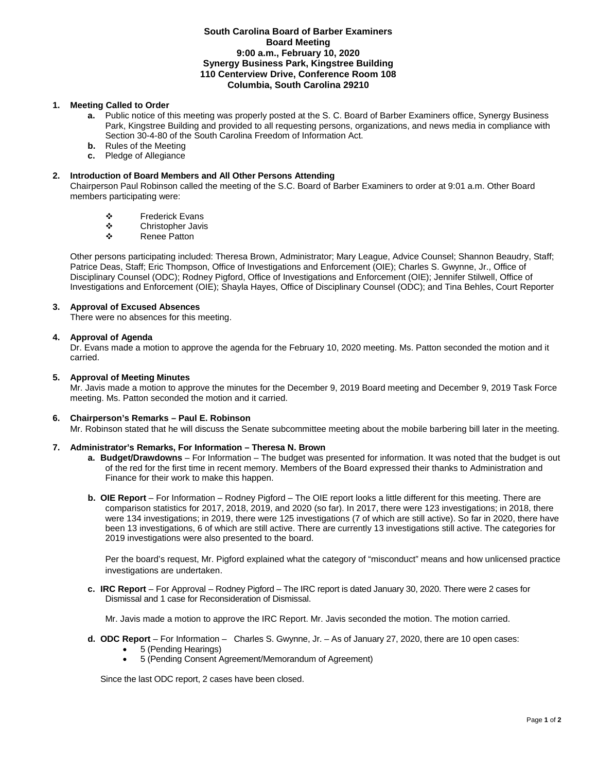#### **South Carolina Board of Barber Examiners Board Meeting 9:00 a.m., February 10, 2020 Synergy Business Park, Kingstree Building 110 Centerview Drive, Conference Room 108 Columbia, South Carolina 29210**

# **1. Meeting Called to Order**

- **a.** Public notice of this meeting was properly posted at the S. C. Board of Barber Examiners office, Synergy Business Park, Kingstree Building and provided to all requesting persons, organizations, and news media in compliance with Section 30-4-80 of the South Carolina Freedom of Information Act.
- **b.** Rules of the Meeting
- **c.** Pledge of Allegiance

# **2. Introduction of Board Members and All Other Persons Attending**

Chairperson Paul Robinson called the meeting of the S.C. Board of Barber Examiners to order at 9:01 a.m. Other Board members participating were:

- ❖ Frederick Evans<br>❖ Christopher Javis
- Christopher Javis
- ❖ Renee Patton

Other persons participating included: Theresa Brown, Administrator; Mary League, Advice Counsel; Shannon Beaudry, Staff; Patrice Deas, Staff; Eric Thompson, Office of Investigations and Enforcement (OIE); Charles S. Gwynne, Jr., Office of Disciplinary Counsel (ODC); Rodney Pigford, Office of Investigations and Enforcement (OIE); Jennifer Stilwell, Office of Investigations and Enforcement (OIE); Shayla Hayes, Office of Disciplinary Counsel (ODC); and Tina Behles, Court Reporter

### **3. Approval of Excused Absences**

There were no absences for this meeting.

### **4. Approval of Agenda**

Dr. Evans made a motion to approve the agenda for the February 10, 2020 meeting. Ms. Patton seconded the motion and it carried.

### **5. Approval of Meeting Minutes**

Mr. Javis made a motion to approve the minutes for the December 9, 2019 Board meeting and December 9, 2019 Task Force meeting. Ms. Patton seconded the motion and it carried.

### **6. Chairperson's Remarks – Paul E. Robinson**

Mr. Robinson stated that he will discuss the Senate subcommittee meeting about the mobile barbering bill later in the meeting.

### **7. Administrator's Remarks, For Information – Theresa N. Brown**

- **a. Budget/Drawdowns** For Information The budget was presented for information. It was noted that the budget is out of the red for the first time in recent memory. Members of the Board expressed their thanks to Administration and Finance for their work to make this happen.
- **b. OIE Report**  For Information Rodney Pigford The OIE report looks a little different for this meeting. There are comparison statistics for 2017, 2018, 2019, and 2020 (so far). In 2017, there were 123 investigations; in 2018, there were 134 investigations; in 2019, there were 125 investigations (7 of which are still active). So far in 2020, there have been 13 investigations, 6 of which are still active. There are currently 13 investigations still active. The categories for 2019 investigations were also presented to the board.

Per the board's request, Mr. Pigford explained what the category of "misconduct" means and how unlicensed practice investigations are undertaken.

**c. IRC Report** – For Approval – Rodney Pigford – The IRC report is dated January 30, 2020. There were 2 cases for Dismissal and 1 case for Reconsideration of Dismissal.

Mr. Javis made a motion to approve the IRC Report. Mr. Javis seconded the motion. The motion carried.

- **d. ODC Report**  For Information Charles S. Gwynne, Jr. As of January 27, 2020, there are 10 open cases:
	- 5 (Pending Hearings)
	- 5 (Pending Consent Agreement/Memorandum of Agreement)

Since the last ODC report, 2 cases have been closed.